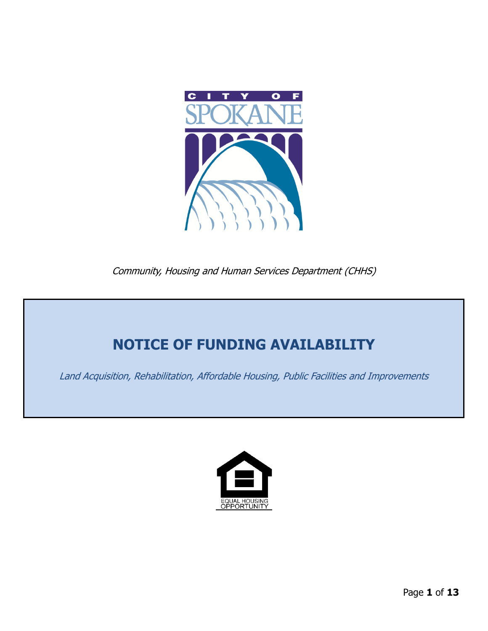

Community, Housing and Human Services Department (CHHS)

# **NOTICE OF FUNDING AVAILABILITY**

Land Acquisition, Rehabilitation, Affordable Housing, Public Facilities and Improvements

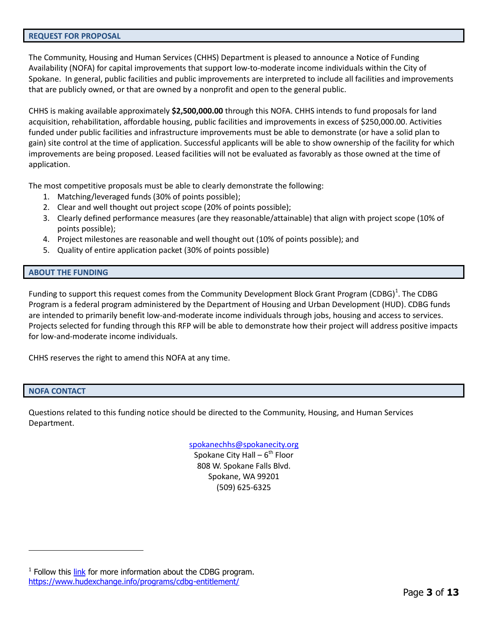#### <span id="page-2-0"></span>**REQUEST FOR PROPOSAL**

The Community, Housing and Human Services (CHHS) Department is pleased to announce a Notice of Funding Availability (NOFA) for capital improvements that support low-to-moderate income individuals within the City of Spokane. In general, public facilities and public improvements are interpreted to include all facilities and improvements that are publicly owned, or that are owned by a nonprofit and open to the general public.

CHHS is making available approximately **\$2,500,000.00** through this NOFA. CHHS intends to fund proposals for land acquisition, rehabilitation, affordable housing, public facilities and improvements in excess of \$250,000.00. Activities funded under public facilities and infrastructure improvements must be able to demonstrate (or have a solid plan to gain) site control at the time of application. Successful applicants will be able to show ownership of the facility for which improvements are being proposed. Leased facilities will not be evaluated as favorably as those owned at the time of application.

The most competitive proposals must be able to clearly demonstrate the following:

- 1. Matching/leveraged funds (30% of points possible);
- 2. Clear and well thought out project scope (20% of points possible);
- 3. Clearly defined performance measures (are they reasonable/attainable) that align with project scope (10% of points possible);
- 4. Project milestones are reasonable and well thought out (10% of points possible); and
- 5. Quality of entire application packet (30% of points possible)

## <span id="page-2-1"></span>**ABOUT THE FUNDING**

Funding to support this request comes from the Community Development Block Grant Program (CDBG)<sup>1</sup>. The CDBG Program is a federal program administered by the Department of Housing and Urban Development (HUD). CDBG funds are intended to primarily benefit low-and-moderate income individuals through jobs, housing and access to services. Projects selected for funding through this RFP will be able to demonstrate how their project will address positive impacts for low-and-moderate income individuals.

CHHS reserves the right to amend this NOFA at any time.

## <span id="page-2-2"></span>**NOFA CONTACT**

 $\overline{a}$ 

Questions related to this funding notice should be directed to the Community, Housing, and Human Services Department.

[spokanechhs@spokanecity.org](mailto:spokanechhs@spokanecity.org)

Spokane City Hall – 6<sup>th</sup> Floor 808 W. Spokane Falls Blvd. Spokane, WA 99201 (509) 625-6325

<sup>&</sup>lt;sup>1</sup> Follow this [link](https://www.hudexchange.info/programs/cdbg-entitlement/) for more information about the CDBG program. <https://www.hudexchange.info/programs/cdbg-entitlement/>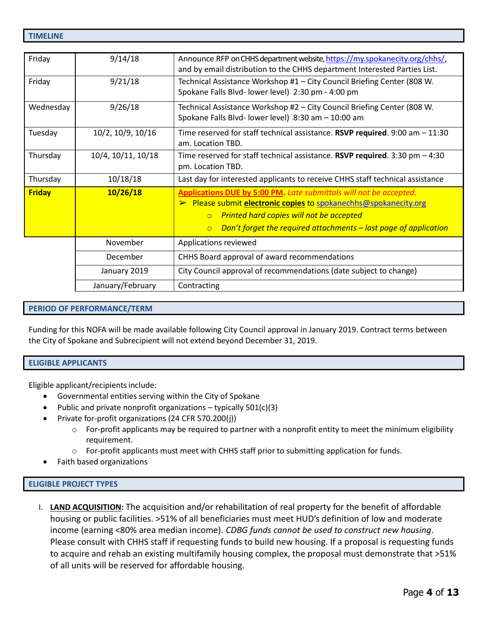<span id="page-3-0"></span>

| Friday        | 9/14/18            | Announce RFP on CHHS department website, https://my.spokanecity.org/chhs/,<br>and by email distribution to the CHHS department Interested Parties List.                                                                                                                               |  |  |  |
|---------------|--------------------|---------------------------------------------------------------------------------------------------------------------------------------------------------------------------------------------------------------------------------------------------------------------------------------|--|--|--|
| Friday        | 9/21/18            | Technical Assistance Workshop #1 - City Council Briefing Center (808 W.<br>Spokane Falls Blvd- lower level) 2:30 pm - 4:00 pm                                                                                                                                                         |  |  |  |
| Wednesday     | 9/26/18            | Technical Assistance Workshop #2 - City Council Briefing Center (808 W.<br>Spokane Falls Blvd- lower level) 8:30 am - 10:00 am                                                                                                                                                        |  |  |  |
| Tuesday       | 10/2, 10/9, 10/16  | Time reserved for staff technical assistance. RSVP required. 9:00 am $-11:30$<br>am. Location TBD.                                                                                                                                                                                    |  |  |  |
| Thursday      | 10/4, 10/11, 10/18 | Time reserved for staff technical assistance. RSVP required. $3:30$ pm $-4:30$<br>pm. Location TBD.                                                                                                                                                                                   |  |  |  |
| Thursday      | 10/18/18           | Last day for interested applicants to receive CHHS staff technical assistance                                                                                                                                                                                                         |  |  |  |
| <b>Friday</b> | 10/26/18           | Applications DUE by 5:00 PM. Late submittals will not be accepted.<br>► Please submit electronic copies to spokanechhs@spokanecity.org<br><b>Printed hard copies will not be accepted</b><br>$\circ$<br>Don't forget the required attachments $-$ last page of application<br>$\circ$ |  |  |  |
|               | November           | Applications reviewed                                                                                                                                                                                                                                                                 |  |  |  |
|               | December           | CHHS Board approval of award recommendations                                                                                                                                                                                                                                          |  |  |  |
|               | January 2019       | City Council approval of recommendations (date subject to change)                                                                                                                                                                                                                     |  |  |  |
|               | January/February   | Contracting                                                                                                                                                                                                                                                                           |  |  |  |

# <span id="page-3-1"></span>**PERIOD OF PERFORMANCE/TERM**

Funding for this NOFA will be made available following City Council approval in January 2019. Contract terms between the City of Spokane and Subrecipient will not extend beyond December 31, 2019.

# <span id="page-3-2"></span>**ELIGIBLE APPLICANTS**

Eligible applicant/recipientsinclude:

- Governmental entities serving within the City of Spokane
- Public and private nonprofit organizations typically 501(c)(3)
- Private for-profit organizations (24 CFR 570.200(j))
	- o For-profit applicants may be required to partner with a nonprofit entity to meet the minimum eligibility requirement.
	- o For-profit applicants must meet with CHHS staff prior to submitting application for funds.
- Faith based organizations

# <span id="page-3-3"></span>**ELIGIBLE PROJECT TYPES**

I. **LAND ACQUISITION:** The acquisition and/or rehabilitation of real property for the benefit of affordable housing or public facilities. >51% of all beneficiaries must meet HUD's definition of low and moderate income (earning <80% area median income). *CDBG funds cannot be used to construct new housing*. Please consult with CHHS staff if requesting funds to build new housing. If a proposal is requesting funds to acquire and rehab an existing multifamily housing complex, the proposal must demonstrate that >51% of all units will be reserved for affordable housing.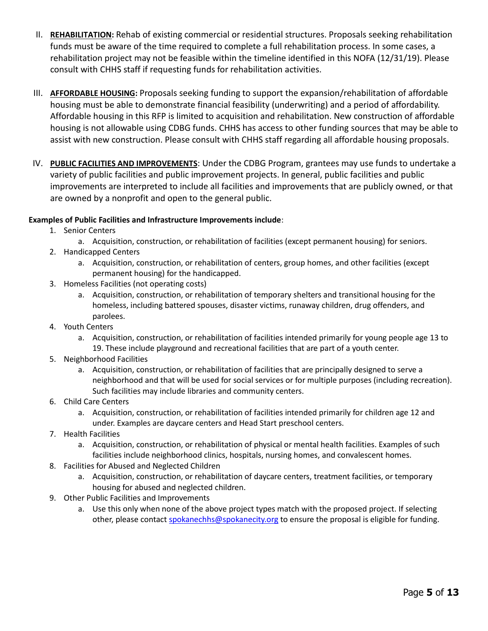- II. **REHABILITATION:** Rehab of existing commercial or residential structures. Proposals seeking rehabilitation funds must be aware of the time required to complete a full rehabilitation process. In some cases, a rehabilitation project may not be feasible within the timeline identified in this NOFA (12/31/19). Please consult with CHHS staff if requesting funds for rehabilitation activities.
- III. **AFFORDABLE HOUSING:** Proposals seeking funding to support the expansion/rehabilitation of affordable housing must be able to demonstrate financial feasibility (underwriting) and a period of affordability. Affordable housing in this RFP is limited to acquisition and rehabilitation. New construction of affordable housing is not allowable using CDBG funds. CHHS has access to other funding sources that may be able to assist with new construction. Please consult with CHHS staff regarding all affordable housing proposals.
- IV. **PUBLIC FACILITIES AND IMPROVEMENTS**: Under the CDBG Program, grantees may use funds to undertake a variety of public facilities and public improvement projects. In general, public facilities and public improvements are interpreted to include all facilities and improvements that are publicly owned, or that are owned by a nonprofit and open to the general public.

# **Examples of Public Facilities and Infrastructure Improvements include**:

- 1. Senior Centers
	- a. Acquisition, construction, or rehabilitation of facilities (except permanent housing) for seniors.
- 2. Handicapped Centers
	- a. Acquisition, construction, or rehabilitation of centers, group homes, and other facilities (except permanent housing) for the handicapped.
- 3. Homeless Facilities (not operating costs)
	- a. Acquisition, construction, or rehabilitation of temporary shelters and transitional housing for the homeless, including battered spouses, disaster victims, runaway children, drug offenders, and parolees.
- 4. Youth Centers
	- a. Acquisition, construction, or rehabilitation of facilities intended primarily for young people age 13 to 19. These include playground and recreational facilities that are part of a youth center.
- 5. Neighborhood Facilities
	- a. Acquisition, construction, or rehabilitation of facilities that are principally designed to serve a neighborhood and that will be used for social services or for multiple purposes (including recreation). Such facilities may include libraries and community centers.
- 6. Child Care Centers
	- a. Acquisition, construction, or rehabilitation of facilities intended primarily for children age 12 and under. Examples are daycare centers and Head Start preschool centers.
- 7. Health Facilities
	- a. Acquisition, construction, or rehabilitation of physical or mental health facilities. Examples of such facilities include neighborhood clinics, hospitals, nursing homes, and convalescent homes.
- 8. Facilities for Abused and Neglected Children
	- a. Acquisition, construction, or rehabilitation of daycare centers, treatment facilities, or temporary housing for abused and neglected children.
- 9. Other Public Facilities and Improvements
	- a. Use this only when none of the above project types match with the proposed project. If selecting other, please contact [spokanechhs@spokanecity.org](mailto:spokanechhs@spokanecity.org) to ensure the proposal is eligible for funding.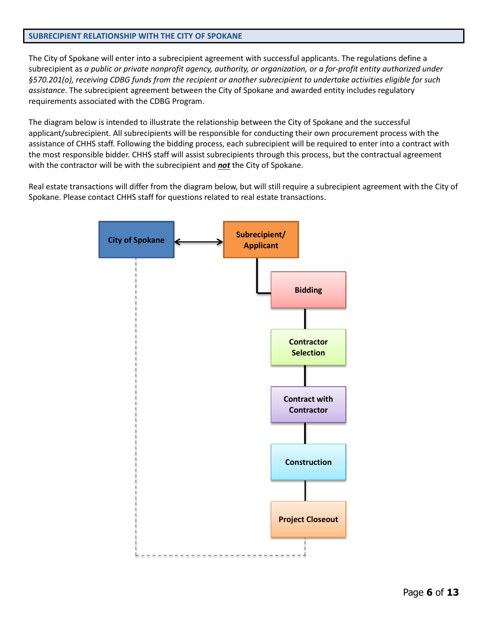## <span id="page-5-0"></span>**SUBRECIPIENT RELATIONSHIP WITH THE CITY OF SPOKANE**

The City of Spokane will enter into a subrecipient agreement with successful applicants. The regulations define a subrecipient as *a public or private nonprofit agency, authority, or organization, or a for-profit entity authorized under §570.201(o), receiving CDBG funds from the recipient or another subrecipient to undertake activities eligible for such assistance*. The subrecipient agreement between the City of Spokane and awarded entity includes regulatory requirements associated with the CDBG Program.

The diagram below is intended to illustrate the relationship between the City of Spokane and the successful applicant/subrecipient. All subrecipients will be responsible for conducting their own procurement process with the assistance of CHHS staff. Following the bidding process, each subrecipient will be required to enter into a contract with the most responsible bidder. CHHS staff will assist subrecipients through this process, but the contractual agreement with the contractor will be with the subrecipient and *not* the City of Spokane.

Real estate transactions will differ from the diagram below, but will still require a subrecipient agreement with the City of Spokane. Please contact CHHS staff for questions related to real estate transactions.

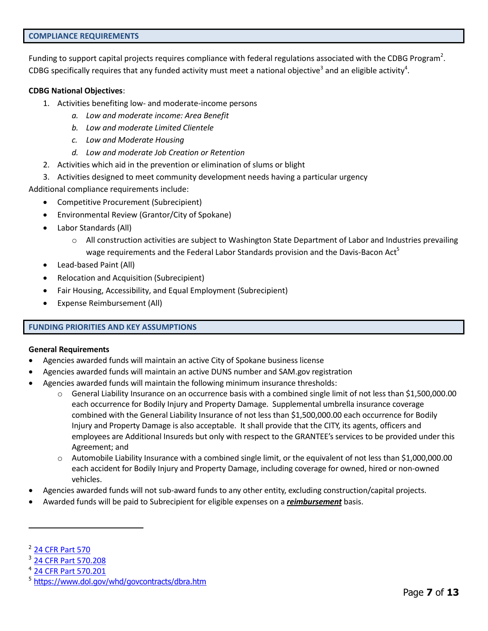<span id="page-6-0"></span>Funding to support capital projects requires compliance with federal regulations associated with the CDBG Program<sup>2</sup>. CDBG specifically requires that any funded activity must meet a national objective<sup>3</sup> and an eligible activity<sup>4</sup>.

## **CDBG National Objectives**:

- 1. Activities benefiting low- and moderate-income persons
	- *a. Low and moderate income: Area Benefit*
	- *b. Low and moderate Limited Clientele*
	- *c. Low and Moderate Housing*
	- *d. Low and moderate Job Creation or Retention*
- 2. Activities which aid in the prevention or elimination of slums or blight
- 3. Activities designed to meet community development needs having a particular urgency

Additional compliance requirements include:

- Competitive Procurement (Subrecipient)
- Environmental Review (Grantor/City of Spokane)
- Labor Standards (All)
	- $\circ$  All construction activities are subject to Washington State Department of Labor and Industries prevailing wage requirements and the Federal Labor Standards provision and the Davis-Bacon Act<sup>5</sup>
- Lead-based Paint (All)
- Relocation and Acquisition (Subrecipient)
- Fair Housing, Accessibility, and Equal Employment (Subrecipient)
- Expense Reimbursement (All)

# <span id="page-6-1"></span>**FUNDING PRIORITIES AND KEY ASSUMPTIONS**

## **General Requirements**

- Agencies awarded funds will maintain an active City of Spokane business license
- Agencies awarded funds will maintain an active DUNS number and SAM.gov registration
- Agencies awarded funds will maintain the following minimum insurance thresholds:
	- General Liability Insurance on an occurrence basis with a combined single limit of not less than \$1,500,000.00 each occurrence for Bodily Injury and Property Damage. Supplemental umbrella insurance coverage combined with the General Liability Insurance of not less than \$1,500,000.00 each occurrence for Bodily Injury and Property Damage is also acceptable. It shall provide that the CITY, its agents, officers and employees are Additional Insureds but only with respect to the GRANTEE's services to be provided under this Agreement; and
	- o Automobile Liability Insurance with a combined single limit, or the equivalent of not less than \$1,000,000.00 each accident for Bodily Injury and Property Damage, including coverage for owned, hired or non-owned vehicles.
- Agencies awarded funds will not sub-award funds to any other entity, excluding construction/capital projects.
- Awarded funds will be paid to Subrecipient for eligible expenses on a *reimbursement* basis.

 $\overline{a}$ 

<sup>&</sup>lt;sup>2</sup> [24 CFR Part 570](https://www.ecfr.gov/cgi-bin/text-idx?tpl=/ecfrbrowse/Title24/24cfr570_main_02.tpl)

<sup>3</sup> [24 CFR Part 570.208](https://www.govregs.com/regulations/expand/title24_chapterV_part570_subpartC_section570.208#title24_chapterV_part570_subpartC_section570.208https://www.govregs.com/regulations/expand/title24_chapterV_part570_subpartC_section570.208)

<sup>4</sup> [24 CFR Part 570.201](https://www.govregs.com/regulations/expand/title24_chapterV_part570_subpartC_section570.208#title24_chapterV_part570_subpartC_section570.207https://www.govregs.com/regulations/expand/title24_chapterV_part570_subpartC_section570.208)

<sup>&</sup>lt;sup>5</sup> <https://www.dol.gov/whd/govcontracts/dbra.htm>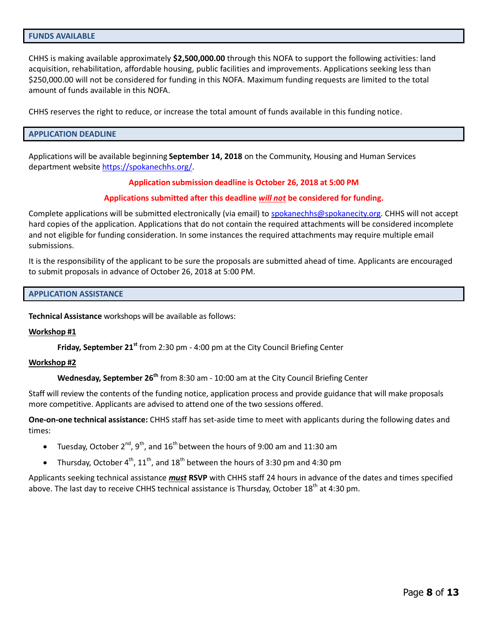<span id="page-7-0"></span>CHHS is making available approximately **\$2,500,000.00** through this NOFA to support the following activities: land acquisition, rehabilitation, affordable housing, public facilities and improvements. Applications seeking less than \$250,000.00 will not be considered for funding in this NOFA. Maximum funding requests are limited to the total amount of funds available in this NOFA.

<span id="page-7-1"></span>CHHS reserves the right to reduce, or increase the total amount of funds available in this funding notice.

## **APPLICATION DEADLINE**

Applications will be available beginning **September 14, 2018** on the Community, Housing and Human Services department website [https://spokanechhs.org/.](https://my.spokanecity.org/chhs/)

## **Application submission deadline is October 26, 2018 at 5:00 PM**

## **Applications submitted after this deadline** *will not* **be considered for funding.**

Complete applications will be submitted electronically (via email) to [spokanechhs@spokanecity.org.](mailto:spokanechhs@spokanecity.org) CHHS will not accept hard copies of the application. Applications that do not contain the required attachments will be considered incomplete and not eligible for funding consideration. In some instances the required attachments may require multiple email submissions.

It is the responsibility of the applicant to be sure the proposals are submitted ahead of time. Applicants are encouraged to submit proposals in advance of October 26, 2018 at 5:00 PM.

#### <span id="page-7-2"></span>**APPLICATION ASSISTANCE**

**Technical Assistance** workshops will be available as follows:

#### **Workshop #1**

**Friday, September 21<sup>st</sup> from 2:30 pm - 4:00 pm at the City Council Briefing Center** 

#### **Workshop #2**

**Wednesday, September 26th** from 8:30 am - 10:00 am at the City Council Briefing Center

Staff will review the contents of the funding notice, application process and provide guidance that will make proposals more competitive. Applicants are advised to attend one of the two sessions offered.

**One-on-one technical assistance:** CHHS staff has set-aside time to meet with applicants during the following dates and times:

- Tuesday, October 2<sup>nd</sup>, 9<sup>th</sup>, and 16<sup>th</sup> between the hours of 9:00 am and 11:30 am
- Thursday, October 4<sup>th</sup>, 11<sup>th</sup>, and 18<sup>th</sup> between the hours of 3:30 pm and 4:30 pm

Applicants seeking technical assistance *must* **RSVP** with CHHS staff 24 hours in advance of the dates and times specified above. The last day to receive CHHS technical assistance is Thursday, October 18<sup>th</sup> at 4:30 pm.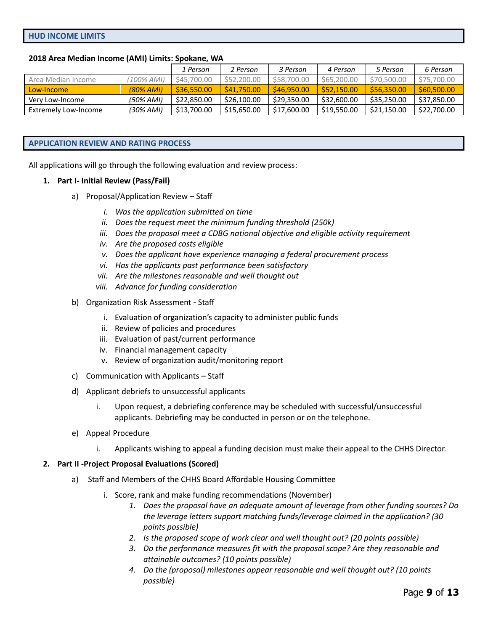## <span id="page-8-0"></span>**2018 Area Median Income (AMI) Limits: Spokane, WA**

|                      |            | 1 Person    | 2 Person    | 3 Person    | 4 Person    | 5 Person    | 6 Person    |
|----------------------|------------|-------------|-------------|-------------|-------------|-------------|-------------|
| Area Median Income   | (100% AMI) | \$45,700,00 | \$52,200,00 | \$58,700.00 | \$65,200,00 | \$70,500.00 | \$75,700.00 |
| Low-Income           | (80% AMI)  | \$36,550.00 | \$41,750.00 | \$46,950.00 | \$52,150.00 | \$56,350.00 | \$60,500.00 |
| Very Low-Income      | (50% AMI)  | \$22,850.00 | \$26,100.00 | \$29,350.00 | \$32,600.00 | \$35,250.00 | \$37,850.00 |
| Extremely Low-Income | (30% AMI)  | \$13,700.00 | \$15,650.00 | \$17,600.00 | \$19,550.00 | \$21,150.00 | \$22,700.00 |

#### <span id="page-8-1"></span>**APPLICATION REVIEW AND RATING PROCESS**

All applications will go through the following evaluation and review process:

#### **1. Part I- Initial Review (Pass/Fail)**

- a) Proposal/Application Review Staff
	- *i. Was the application submitted on time*
	- *ii. Does the request meet the minimum funding threshold (250k)*
	- *iii. Does the proposal meet a CDBG national objective and eligible activity requirement*
	- *iv. Are the proposed costs eligible*
	- *v. Does the applicant have experience managing a federal procurement process*
	- *vi. Has the applicants past performance been satisfactory*
	- *vii. Are the milestones reasonable and well thought out*
	- *viii. Advance for funding consideration*
- b) Organization Risk Assessment **-** Staff
	- i. Evaluation of organization's capacity to administer public funds
	- ii. Review of policies and procedures
	- iii. Evaluation of past/current performance
	- iv. Financial management capacity
	- v. Review of organization audit/monitoring report
- c) Communication with Applicants Staff
- d) Applicant debriefs to unsuccessful applicants
	- i. Upon request, a debriefing conference may be scheduled with successful/unsuccessful applicants. Debriefing may be conducted in person or on the telephone.
- e) Appeal Procedure
	- i. Applicants wishing to appeal a funding decision must make their appeal to the CHHS Director.

## **2. Part II -Project Proposal Evaluations (Scored)**

- a) Staff and Members of the CHHS Board Affordable Housing Committee
	- i. Score, rank and make funding recommendations (November)
		- *1. Does the proposal have an adequate amount of leverage from other funding sources? Do the leverage letters support matching funds/leverage claimed in the application? (30 points possible)*
		- *2. Is the proposed scope of work clear and well thought out? (20 points possible)*
		- *3. Do the performance measures fit with the proposal scope? Are they reasonable and attainable outcomes? (10 points possible)*
		- *4. Do the (proposal) milestones appear reasonable and well thought out? (10 points possible)*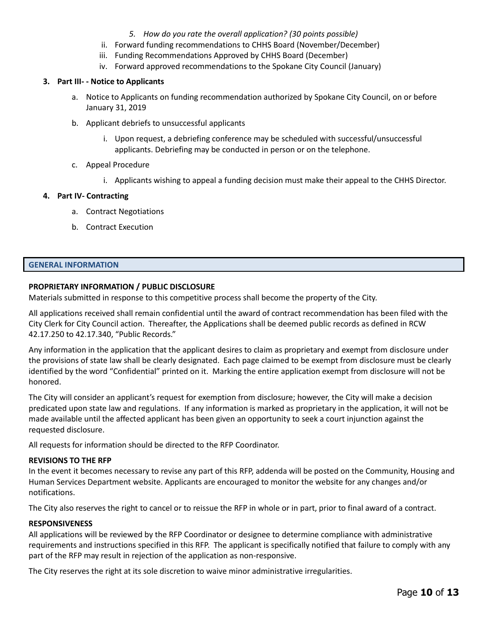- *5. How do you rate the overall application? (30 points possible)*
- ii. Forward funding recommendations to CHHS Board (November/December)
- iii. Funding Recommendations Approved by CHHS Board (December)
- iv. Forward approved recommendations to the Spokane City Council (January)

# **3. Part III- - Notice to Applicants**

- a. Notice to Applicants on funding recommendation authorized by Spokane City Council, on or before January 31, 2019
- b. Applicant debriefs to unsuccessful applicants
	- i. Upon request, a debriefing conference may be scheduled with successful/unsuccessful applicants. Debriefing may be conducted in person or on the telephone.
- c. Appeal Procedure
	- i. Applicants wishing to appeal a funding decision must make their appeal to the CHHS Director.

# **4. Part IV- Contracting**

- a. Contract Negotiations
- b. Contract Execution

# <span id="page-9-0"></span>**GENERAL INFORMATION**

# **PROPRIETARY INFORMATION / PUBLIC DISCLOSURE**

Materials submitted in response to this competitive process shall become the property of the City.

All applications received shall remain confidential until the award of contract recommendation has been filed with the City Clerk for City Council action. Thereafter, the Applications shall be deemed public records as defined in RCW 42.17.250 to 42.17.340, "Public Records."

Any information in the application that the applicant desires to claim as proprietary and exempt from disclosure under the provisions of state law shall be clearly designated. Each page claimed to be exempt from disclosure must be clearly identified by the word "Confidential" printed on it. Marking the entire application exempt from disclosure will not be honored.

The City will consider an applicant's request for exemption from disclosure; however, the City will make a decision predicated upon state law and regulations. If any information is marked as proprietary in the application, it will not be made available until the affected applicant has been given an opportunity to seek a court injunction against the requested disclosure.

All requests for information should be directed to the RFP Coordinator.

# **REVISIONS TO THE RFP**

In the event it becomes necessary to revise any part of this RFP, addenda will be posted on the Community, Housing and Human Services Department website. Applicants are encouraged to monitor the website for any changes and/or notifications.

The City also reserves the right to cancel or to reissue the RFP in whole or in part, prior to final award of a contract.

# **RESPONSIVENESS**

All applications will be reviewed by the RFP Coordinator or designee to determine compliance with administrative requirements and instructions specified in this RFP. The applicant is specifically notified that failure to comply with any part of the RFP may result in rejection of the application as non-responsive.

The City reserves the right at its sole discretion to waive minor administrative irregularities.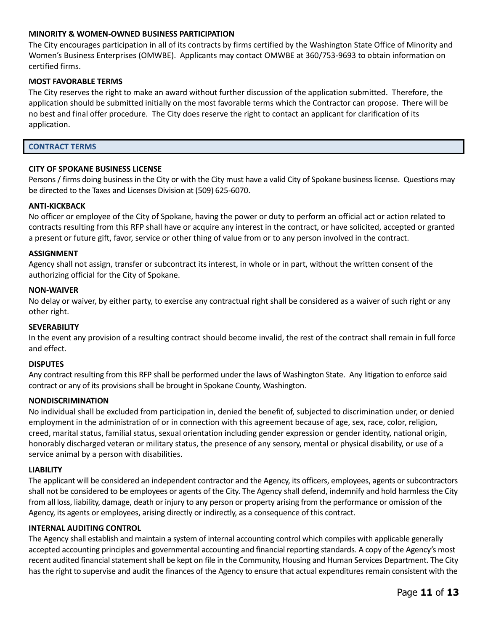## **MINORITY & WOMEN-OWNED BUSINESS PARTICIPATION**

The City encourages participation in all of its contracts by firms certified by the Washington State Office of Minority and Women's Business Enterprises (OMWBE). Applicants may contact OMWBE at 360/753-9693 to obtain information on certified firms.

## **MOST FAVORABLE TERMS**

The City reserves the right to make an award without further discussion of the application submitted. Therefore, the application should be submitted initially on the most favorable terms which the Contractor can propose. There will be no best and final offer procedure. The City does reserve the right to contact an applicant for clarification of its application.

#### <span id="page-10-0"></span>**CONTRACT TERMS**

## **CITY OF SPOKANE BUSINESS LICENSE**

Persons / firms doing business in the City or with the City must have a valid City of Spokane business license. Questions may be directed to the Taxes and Licenses Division at (509) 625-6070.

## **ANTI-KICKBACK**

No officer or employee of the City of Spokane, having the power or duty to perform an official act or action related to contracts resulting from this RFP shall have or acquire any interest in the contract, or have solicited, accepted or granted a present or future gift, favor, service or other thing of value from or to any person involved in the contract.

## **ASSIGNMENT**

Agency shall not assign, transfer or subcontract its interest, in whole or in part, without the written consent of the authorizing official for the City of Spokane.

#### **NON-WAIVER**

No delay or waiver, by either party, to exercise any contractual right shall be considered as a waiver of such right or any other right.

## **SEVERABILITY**

In the event any provision of a resulting contract should become invalid, the rest of the contract shall remain in full force and effect.

## **DISPUTES**

Any contract resulting from this RFP shall be performed under the laws of Washington State. Any litigation to enforce said contract or any of its provisions shall be brought in Spokane County, Washington.

## **NONDISCRIMINATION**

No individual shall be excluded from participation in, denied the benefit of, subjected to discrimination under, or denied employment in the administration of or in connection with this agreement because of age, sex, race, color, religion, creed, marital status, familial status, sexual orientation including gender expression or gender identity, national origin, honorably discharged veteran or military status, the presence of any sensory, mental or physical disability, or use of a service animal by a person with disabilities.

#### **LIABILITY**

The applicant will be considered an independent contractor and the Agency, its officers, employees, agents or subcontractors shall not be considered to be employees or agents of the City. The Agency shall defend, indemnify and hold harmless the City from all loss, liability, damage, death or injury to any person or property arising from the performance or omission of the Agency, its agents or employees, arising directly or indirectly, as a consequence of this contract.

## **INTERNAL AUDITING CONTROL**

The Agency shall establish and maintain a system of internal accounting control which compiles with applicable generally accepted accounting principles and governmental accounting and financial reporting standards. A copy of the Agency's most recent audited financial statement shall be kept on file in the Community, Housing and Human Services Department. The City has the right to supervise and audit the finances of the Agency to ensure that actual expenditures remain consistent with the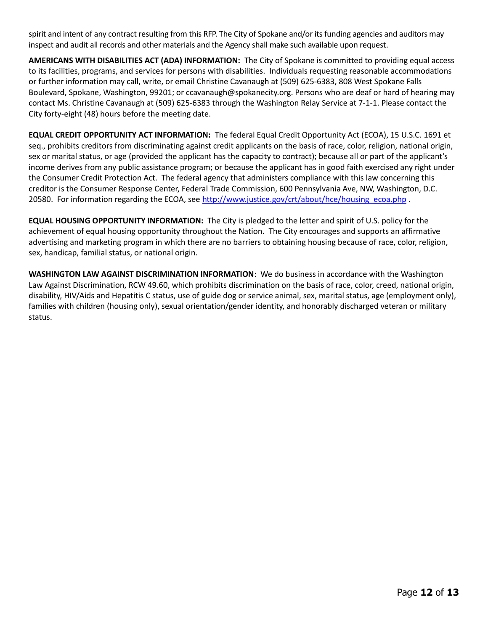spirit and intent of any contract resulting from this RFP. The City of Spokane and/or its funding agencies and auditors may inspect and audit all records and other materials and the Agency shall make such available upon request.

**AMERICANS WITH DISABILITIES ACT (ADA) INFORMATION:** The City of Spokane is committed to providing equal access to its facilities, programs, and services for persons with disabilities. Individuals requesting reasonable accommodations or further information may call, write, or email Christine Cavanaugh at (509) 625-6383, 808 West Spokane Falls Boulevard, Spokane, Washington, 99201; or ccavanaugh@spokanecity.org. Persons who are deaf or hard of hearing may contact Ms. Christine Cavanaugh at (509) 625-6383 through the Washington Relay Service at 7-1-1. Please contact the City forty-eight (48) hours before the meeting date.

**EQUAL CREDIT OPPORTUNITY ACT INFORMATION:** The federal Equal Credit Opportunity Act (ECOA), 15 U.S.C. 1691 et seq., prohibits creditors from discriminating against credit applicants on the basis of race, color, religion, national origin, sex or marital status, or age (provided the applicant has the capacity to contract); because all or part of the applicant's income derives from any public assistance program; or because the applicant has in good faith exercised any right under the Consumer Credit Protection Act. The federal agency that administers compliance with this law concerning this creditor is the Consumer Response Center, Federal Trade Commission, 600 Pennsylvania Ave, NW, Washington, D.C. 20580. For information regarding the ECOA, se[e http://www.justice.gov/crt/about/hce/housing\\_ecoa.php](http://www.justice.gov/crt/about/hce/housing_ecoa.php) .

**EQUAL HOUSING OPPORTUNITY INFORMATION:** The City is pledged to the letter and spirit of U.S. policy for the achievement of equal housing opportunity throughout the Nation. The City encourages and supports an affirmative advertising and marketing program in which there are no barriers to obtaining housing because of race, color, religion, sex, handicap, familial status, or national origin.

**WASHINGTON LAW AGAINST DISCRIMINATION INFORMATION**: We do business in accordance with the Washington Law Against Discrimination, RCW 49.60, which prohibits discrimination on the basis of race, color, creed, national origin, disability, HIV/Aids and Hepatitis C status, use of guide dog or service animal, sex, marital status, age (employment only), families with children (housing only), sexual orientation/gender identity, and honorably discharged veteran or military status.